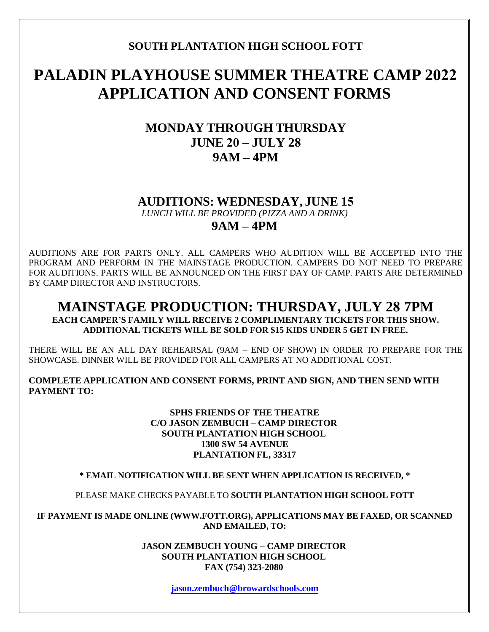### **SOUTH PLANTATION HIGH SCHOOL FOTT**

# **PALADIN PLAYHOUSE SUMMER THEATRE CAMP 2022 APPLICATION AND CONSENT FORMS**

## **MONDAY THROUGH THURSDAY JUNE 20 – JULY 28 9AM – 4PM**

### **AUDITIONS: WEDNESDAY, JUNE 15**

*LUNCH WILL BE PROVIDED (PIZZA AND A DRINK)*

### **9AM – 4PM**

AUDITIONS ARE FOR PARTS ONLY. ALL CAMPERS WHO AUDITION WILL BE ACCEPTED INTO THE PROGRAM AND PERFORM IN THE MAINSTAGE PRODUCTION. CAMPERS DO NOT NEED TO PREPARE FOR AUDITIONS. PARTS WILL BE ANNOUNCED ON THE FIRST DAY OF CAMP. PARTS ARE DETERMINED BY CAMP DIRECTOR AND INSTRUCTORS.

### **MAINSTAGE PRODUCTION: THURSDAY, JULY 28 7PM EACH CAMPER'S FAMILY WILL RECEIVE 2 COMPLIMENTARY TICKETS FOR THIS SHOW. ADDITIONAL TICKETS WILL BE SOLD FOR \$15 KIDS UNDER 5 GET IN FREE.**

THERE WILL BE AN ALL DAY REHEARSAL (9AM – END OF SHOW) IN ORDER TO PREPARE FOR THE SHOWCASE. DINNER WILL BE PROVIDED FOR ALL CAMPERS AT NO ADDITIONAL COST.

**COMPLETE APPLICATION AND CONSENT FORMS, PRINT AND SIGN, AND THEN SEND WITH PAYMENT TO:**

#### **SPHS FRIENDS OF THE THEATRE C/O JASON ZEMBUCH – CAMP DIRECTOR SOUTH PLANTATION HIGH SCHOOL 1300 SW 54 AVENUE PLANTATION FL, 33317**

### **\* EMAIL NOTIFICATION WILL BE SENT WHEN APPLICATION IS RECEIVED, \***

PLEASE MAKE CHECKS PAYABLE TO **SOUTH PLANTATION HIGH SCHOOL FOTT**

**IF PAYMENT IS MADE ONLINE (WWW.FOTT.ORG), APPLICATIONS MAY BE FAXED, OR SCANNED AND EMAILED, TO:**

> **JASON ZEMBUCH YOUNG – CAMP DIRECTOR SOUTH PLANTATION HIGH SCHOOL FAX (754) 323-2080**

> > **[jason.zembuch@browardschools.com](mailto:jason.zembuch@browardschools.com)**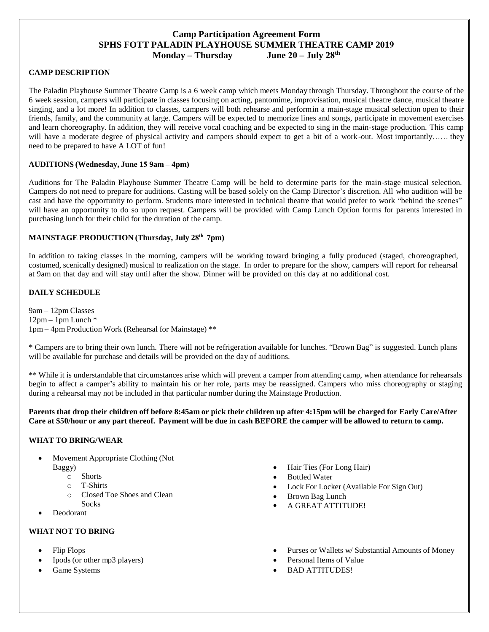#### **Camp Participation Agreement Form SPHS FOTT PALADIN PLAYHOUSE SUMMER THEATRE CAMP 2019 Monday – Thursday June 20 – July 28th**

#### **CAMP DESCRIPTION**

The Paladin Playhouse Summer Theatre Camp is a 6 week camp which meets Monday through Thursday. Throughout the course of the 6 week session, campers will participate in classes focusing on acting, pantomime, improvisation, musical theatre dance, musical theatre singing, and a lot more! In addition to classes, campers will both rehearse and performin a main-stage musical selection open to their friends, family, and the community at large. Campers will be expected to memorize lines and songs, participate in movement exercises and learn choreography. In addition, they will receive vocal coaching and be expected to sing in the main-stage production. This camp will have a moderate degree of physical activity and campers should expect to get a bit of a work-out. Most importantly…… they need to be prepared to have A LOT of fun!

#### **AUDITIONS (Wednesday, June 15 9am – 4pm)**

Auditions for The Paladin Playhouse Summer Theatre Camp will be held to determine parts for the main-stage musical selection. Campers do not need to prepare for auditions. Casting will be based solely on the Camp Director's discretion. All who audition will be cast and have the opportunity to perform. Students more interested in technical theatre that would prefer to work "behind the scenes" will have an opportunity to do so upon request. Campers will be provided with Camp Lunch Option forms for parents interested in purchasing lunch for their child for the duration of the camp.

#### **MAINSTAGE PRODUCTION (Thursday, July 28 th 7pm)**

In addition to taking classes in the morning, campers will be working toward bringing a fully produced (staged, choreographed, costumed, scenically designed) musical to realization on the stage. In order to prepare for the show, campers will report for rehearsal at 9am on that day and will stay until after the show. Dinner will be provided on this day at no additional cost.

#### **DAILY SCHEDULE**

9am – 12pm Classes  $12$ pm – 1pm Lunch  $*$ 1pm – 4pm Production Work (Rehearsal for Mainstage) \*\*

\* Campers are to bring their own lunch. There will not be refrigeration available for lunches. "Brown Bag" is suggested. Lunch plans will be available for purchase and details will be provided on the day of auditions.

\*\* While it is understandable that circumstances arise which will prevent a camper from attending camp, when attendance for rehearsals begin to affect a camper's ability to maintain his or her role, parts may be reassigned. Campers who miss choreography or staging during a rehearsal may not be included in that particular number during the Mainstage Production.

**Parents that drop their children off before 8:45am or pick their children up after 4:15pm will be charged for Early Care/After Care at \$50/hour or any part thereof. Payment will be due in cash BEFORE the camper will be allowed to return to camp.**

#### **WHAT TO BRING/WEAR**

- Movement Appropriate Clothing (Not Baggy)
	- o Shorts
	- o T-Shirts
	- o Closed Toe Shoes and Clean **Socks**
- Deodorant

#### **WHAT NOT TO BRING**

- Flip Flops
- Ipods (or other mp3 players)
- Game Systems
- Hair Ties (For Long Hair)
- Bottled Water
- Lock For Locker (Available For Sign Out)
- Brown Bag Lunch
- A GREAT ATTITUDE!
- Purses or Wallets w/ Substantial Amounts of Money
- Personal Items of Value
- BAD ATTITUDES!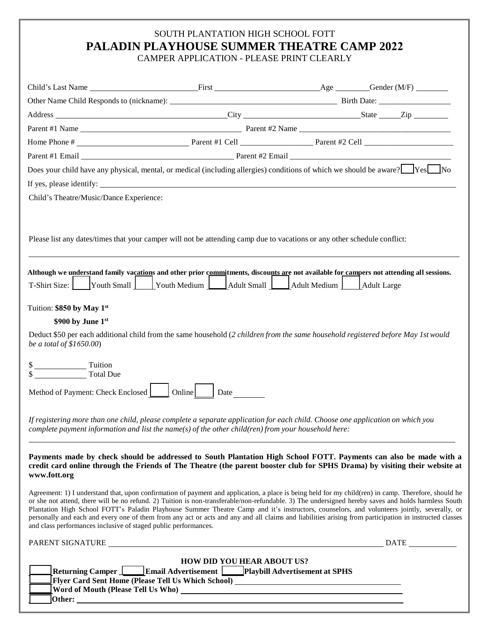## SOUTH PLANTATION HIGH SCHOOL FOTT **PALADIN PLAYHOUSE SUMMER THEATRE CAMP 2022**

CAMPER APPLICATION - PLEASE PRINT CLEARLY

|                                                                 |                                                                                                                                                                                                   | Does your child have any physical, mental, or medical (including allergies) conditions of which we should be aware? Yes No                                                                                                                                                                                                                                                                                                                                                                                                                                                                                           |  |
|-----------------------------------------------------------------|---------------------------------------------------------------------------------------------------------------------------------------------------------------------------------------------------|----------------------------------------------------------------------------------------------------------------------------------------------------------------------------------------------------------------------------------------------------------------------------------------------------------------------------------------------------------------------------------------------------------------------------------------------------------------------------------------------------------------------------------------------------------------------------------------------------------------------|--|
|                                                                 |                                                                                                                                                                                                   |                                                                                                                                                                                                                                                                                                                                                                                                                                                                                                                                                                                                                      |  |
| Child's Theatre/Music/Dance Experience:                         |                                                                                                                                                                                                   |                                                                                                                                                                                                                                                                                                                                                                                                                                                                                                                                                                                                                      |  |
|                                                                 |                                                                                                                                                                                                   | Please list any dates/times that your camper will not be attending camp due to vacations or any other schedule conflict:<br>Although we understand family vacations and other prior commitments, discounts are not available for campers not attending all sessions.                                                                                                                                                                                                                                                                                                                                                 |  |
|                                                                 |                                                                                                                                                                                                   | T-Shirt Size: Youth Small Youth Medium Adult Small Adult Medium Adult Large                                                                                                                                                                                                                                                                                                                                                                                                                                                                                                                                          |  |
| Tuition: \$850 by May 1st                                       |                                                                                                                                                                                                   |                                                                                                                                                                                                                                                                                                                                                                                                                                                                                                                                                                                                                      |  |
| \$900 by June 1st                                               |                                                                                                                                                                                                   |                                                                                                                                                                                                                                                                                                                                                                                                                                                                                                                                                                                                                      |  |
| be a total of $$1650.00$ )                                      |                                                                                                                                                                                                   | Deduct \$50 per each additional child from the same household (2 children from the same household registered before May 1st would                                                                                                                                                                                                                                                                                                                                                                                                                                                                                    |  |
| $\frac{\sqrt{25}}{25}$ Tuition<br>Total Due                     |                                                                                                                                                                                                   |                                                                                                                                                                                                                                                                                                                                                                                                                                                                                                                                                                                                                      |  |
| Method of Payment: Check Enclosed   Online   Date               |                                                                                                                                                                                                   |                                                                                                                                                                                                                                                                                                                                                                                                                                                                                                                                                                                                                      |  |
|                                                                 | complete payment information and list the name(s) of the other child(ren) from your household here:                                                                                               | If registering more than one child, please complete a separate application for each child. Choose one application on which you                                                                                                                                                                                                                                                                                                                                                                                                                                                                                       |  |
| www.fott.org                                                    |                                                                                                                                                                                                   | Payments made by check should be addressed to South Plantation High School FOTT. Payments can also be made with a<br>credit card online through the Friends of The Theatre (the parent booster club for SPHS Drama) by visiting their website at                                                                                                                                                                                                                                                                                                                                                                     |  |
| and class performances inclusive of staged public performances. |                                                                                                                                                                                                   | Agreement: 1) I understand that, upon confirmation of payment and application, a place is being held for my child(ren) in camp. Therefore, should he<br>or she not attend, there will be no refund. 2) Tuition is non-transferable/non-refundable. 3) The undersigned hereby saves and holds harmless South<br>Plantation High School FOTT's Paladin Playhouse Summer Theatre Camp and it's instructors, counselors, and volunteers jointly, severally, or<br>personally and each and every one of them from any act or acts and any and all claims and liabilities arising from participation in instructed classes |  |
|                                                                 | PARENT SIGNATURE                                                                                                                                                                                  | DATE                                                                                                                                                                                                                                                                                                                                                                                                                                                                                                                                                                                                                 |  |
| Word of Mouth (Please Tell Us Who) _                            | <b>HOW DID YOU HEAR ABOUT US?</b><br>Returning Camper   Email Advertisement   Playbill Advertisement at SPHS<br>Flyer Card Sent Home (Please Tell Us Which School) ______________________________ |                                                                                                                                                                                                                                                                                                                                                                                                                                                                                                                                                                                                                      |  |

**Other:**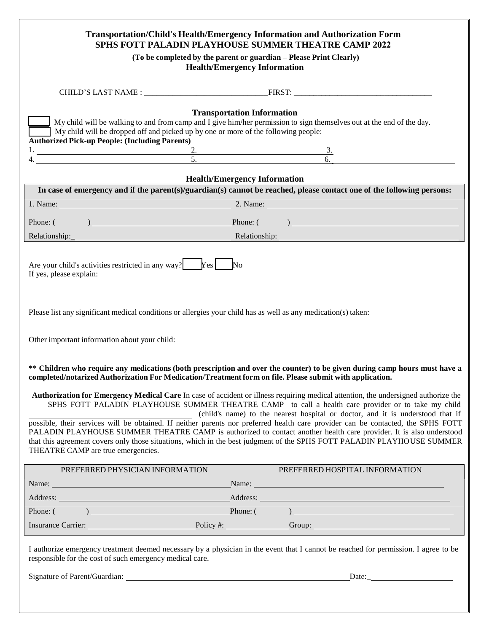|                                                                                                                                                                                                                                                                                                                                                                                                                                                                                     | <b>Transportation/Child's Health/Emergency Information and Authorization Form</b><br>SPHS FOTT PALADIN PLAYHOUSE SUMMER THEATRE CAMP 2022                                                                                                                                                                                                                                                                                                                                                                                                                                                                                                                                                                                                                                                                                                                                      |
|-------------------------------------------------------------------------------------------------------------------------------------------------------------------------------------------------------------------------------------------------------------------------------------------------------------------------------------------------------------------------------------------------------------------------------------------------------------------------------------|--------------------------------------------------------------------------------------------------------------------------------------------------------------------------------------------------------------------------------------------------------------------------------------------------------------------------------------------------------------------------------------------------------------------------------------------------------------------------------------------------------------------------------------------------------------------------------------------------------------------------------------------------------------------------------------------------------------------------------------------------------------------------------------------------------------------------------------------------------------------------------|
|                                                                                                                                                                                                                                                                                                                                                                                                                                                                                     | (To be completed by the parent or guardian - Please Print Clearly)<br><b>Health/Emergency Information</b>                                                                                                                                                                                                                                                                                                                                                                                                                                                                                                                                                                                                                                                                                                                                                                      |
|                                                                                                                                                                                                                                                                                                                                                                                                                                                                                     |                                                                                                                                                                                                                                                                                                                                                                                                                                                                                                                                                                                                                                                                                                                                                                                                                                                                                |
| My child will be dropped off and picked up by one or more of the following people:<br><b>Authorized Pick-up People: (Including Parents)</b>                                                                                                                                                                                                                                                                                                                                         | <b>Transportation Information</b><br>My child will be walking to and from camp and I give him/her permission to sign themselves out at the end of the day.                                                                                                                                                                                                                                                                                                                                                                                                                                                                                                                                                                                                                                                                                                                     |
|                                                                                                                                                                                                                                                                                                                                                                                                                                                                                     | 1. $2.3.3.$<br>4. $5.6.$                                                                                                                                                                                                                                                                                                                                                                                                                                                                                                                                                                                                                                                                                                                                                                                                                                                       |
|                                                                                                                                                                                                                                                                                                                                                                                                                                                                                     | <b>Health/Emergency Information</b>                                                                                                                                                                                                                                                                                                                                                                                                                                                                                                                                                                                                                                                                                                                                                                                                                                            |
|                                                                                                                                                                                                                                                                                                                                                                                                                                                                                     | In case of emergency and if the parent(s)/guardian(s) cannot be reached, please contact one of the following persons:                                                                                                                                                                                                                                                                                                                                                                                                                                                                                                                                                                                                                                                                                                                                                          |
|                                                                                                                                                                                                                                                                                                                                                                                                                                                                                     | 1. Name: 2. Name: 2. Name: 2. Name: 2. Name: 2. Name: 2. Name: 2. Name: 2. Name: 2. Name: 2. Name: 2. Name: 2. Name: 2. Name: 2. Name: 2. Name: 2. Name: 2. Name: 2. Name: 2. Name: 2. Name: 2. Name: 2. Name: 2. Name: 2. Nam                                                                                                                                                                                                                                                                                                                                                                                                                                                                                                                                                                                                                                                 |
|                                                                                                                                                                                                                                                                                                                                                                                                                                                                                     | Phone: $(\qquad)$ Phone: $(\qquad)$                                                                                                                                                                                                                                                                                                                                                                                                                                                                                                                                                                                                                                                                                                                                                                                                                                            |
|                                                                                                                                                                                                                                                                                                                                                                                                                                                                                     |                                                                                                                                                                                                                                                                                                                                                                                                                                                                                                                                                                                                                                                                                                                                                                                                                                                                                |
| Are your child's activities restricted in any way? $\begin{bmatrix} \gamma e_s \end{bmatrix}$ No<br>If yes, please explain:<br>Please list any significant medical conditions or allergies your child has as well as any medication(s) taken:<br>Other important information about your child:<br>completed/notarized Authorization For Medication/Treatment form on file. Please submit with application.<br>THEATRE CAMP are true emergencies.<br>PREFERRED PHYSICIAN INFORMATION | ** Children who require any medications (both prescription and over the counter) to be given during camp hours must have a<br>Authorization for Emergency Medical Care In case of accident or illness requiring medical attention, the undersigned authorize the<br>SPHS FOTT PALADIN PLAYHOUSE SUMMER THEATRE CAMP to call a health care provider or to take my child<br>(child's name) to the nearest hospital or doctor, and it is understood that if<br>possible, their services will be obtained. If neither parents nor preferred health care provider can be contacted, the SPHS FOTT<br>PALADIN PLAYHOUSE SUMMER THEATRE CAMP is authorized to contact another health care provider. It is also understood<br>that this agreement covers only those situations, which in the best judgment of the SPHS FOTT PALADIN PLAYHOUSE SUMMER<br>PREFERRED HOSPITAL INFORMATION |
|                                                                                                                                                                                                                                                                                                                                                                                                                                                                                     | Name: Name: Name: Name: Name: Name: Name: Name: Name: Name: Name: Name: Name: Name: Name: Name: Name: Name: Name: Name: Name: Name: Name: Name: Name: Name: Name: Name: Name: Name: Name: Name: Name: Name: Name: Name: Name:                                                                                                                                                                                                                                                                                                                                                                                                                                                                                                                                                                                                                                                  |
|                                                                                                                                                                                                                                                                                                                                                                                                                                                                                     | Address: Address: Address: Address: Address: Address: Address: Address: Address: Address: Address: Address: Address: Address: Address: Address: Address: Address: Address: Address: Address: Address: Address: Address: Addres                                                                                                                                                                                                                                                                                                                                                                                                                                                                                                                                                                                                                                                 |
|                                                                                                                                                                                                                                                                                                                                                                                                                                                                                     |                                                                                                                                                                                                                                                                                                                                                                                                                                                                                                                                                                                                                                                                                                                                                                                                                                                                                |
|                                                                                                                                                                                                                                                                                                                                                                                                                                                                                     | Insurance Carrier: Policy #: Carrier: Carrier: Policy #: Contract Carrier: Contract Carrier: Contract Carrier: Contract Carrier: Contract Carrier: Contract Carrier: Contract Carrier: Contract Carrier: Contract Carrier: Con                                                                                                                                                                                                                                                                                                                                                                                                                                                                                                                                                                                                                                                 |
| responsible for the cost of such emergency medical care.                                                                                                                                                                                                                                                                                                                                                                                                                            | I authorize emergency treatment deemed necessary by a physician in the event that I cannot be reached for permission. I agree to be                                                                                                                                                                                                                                                                                                                                                                                                                                                                                                                                                                                                                                                                                                                                            |
|                                                                                                                                                                                                                                                                                                                                                                                                                                                                                     | Date: the contract of the contract of the contract of the contract of the contract of the contract of the contract of the contract of the contract of the contract of the contract of the contract of the contract of the cont                                                                                                                                                                                                                                                                                                                                                                                                                                                                                                                                                                                                                                                 |
|                                                                                                                                                                                                                                                                                                                                                                                                                                                                                     |                                                                                                                                                                                                                                                                                                                                                                                                                                                                                                                                                                                                                                                                                                                                                                                                                                                                                |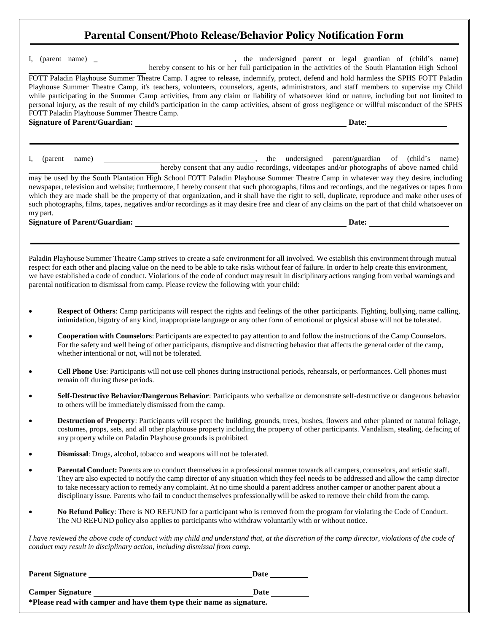# **Parental Consent/Photo Release/Behavior Policy Notification Form**

| FOTT Paladin Playhouse Summer Theatre Camp. I agree to release, indemnify, protect, defend and hold harmless the SPHS FOTT Paladin<br>Playhouse Summer Theatre Camp, it's teachers, volunteers, counselors, agents, administrators, and staff members to supervise my Child<br>while participating in the Summer Camp activities, from any claim or liability of whatsoever kind or nature, including but not limited to<br>personal injury, as the result of my child's participation in the camp activities, absent of gross negligence or willful misconduct of the SPHS<br>FOTT Paladin Playhouse Summer Theatre Camp.<br>the undersigned parent/guardian of (child's name)<br>(parent<br>name)<br>hereby consent that any audio recordings, videotapes and/or photographs of above named child<br>may be used by the South Plantation High School FOTT Paladin Playhouse Summer Theatre Camp in whatever way they desire, including<br>newspaper, television and website; furthermore, I hereby consent that such photographs, films and recordings, and the negatives or tapes from<br>which they are made shall be the property of that organization, and it shall have the right to sell, duplicate, reproduce and make other uses of<br>such photographs, films, tapes, negatives and/or recordings as it may desire free and clear of any claims on the part of that child whatsoever on<br>my part.<br><b>Signature of Parent/Guardian:</b><br>$\qquad \qquad \textbf{Date:} \qquad$<br>Paladin Playhouse Summer Theatre Camp strives to create a safe environment for all involved. We establish this environment through mutual<br>respect for each other and placing value on the need to be able to take risks without fear of failure. In order to help create this environment,<br>we have established a code of conduct. Violations of the code of conduct may result in disciplinary actions ranging from verbal warnings and<br>parental notification to dismissal from camp. Please review the following with your child:<br>Respect of Others: Camp participants will respect the rights and feelings of the other participants. Fighting, bullying, name calling,<br>intimidation, bigotry of any kind, inappropriate language or any other form of emotional or physical abuse will not be tolerated.<br>Cooperation with Counselors: Participants are expected to pay attention to and follow the instructions of the Camp Counselors.<br>For the safety and well being of other participants, disruptive and distracting behavior that affects the general order of the camp,<br>whether intentional or not, will not be tolerated.<br>Cell Phone Use: Participants will not use cell phones during instructional periods, rehearsals, or performances. Cell phones must<br>remain off during these periods.<br>Self-Destructive Behavior/Dangerous Behavior: Participants who verbalize or demonstrate self-destructive or dangerous behavior<br>to others will be immediately dismissed from the camp.<br><b>Destruction of Property</b> : Participants will respect the building, grounds, trees, bushes, flowers and other planted or natural foliage,<br>costumes, props, sets, and all other playhouse property including the property of other participants. Vandalism, stealing, defacing of<br>any property while on Paladin Playhouse grounds is prohibited.<br>Dismissal: Drugs, alcohol, tobacco and weapons will not be tolerated.<br>Parental Conduct: Parents are to conduct themselves in a professional manner towards all campers, counselors, and artistic staff.<br>They are also expected to notify the camp director of any situation which they feel needs to be addressed and allow the camp director<br>to take necessary action to remedy any complaint. At no time should a parent address another camper or another parent about a<br>disciplinary issue. Parents who fail to conduct themselves professionally will be asked to remove their child from the camp.<br>No Refund Policy: There is NO REFUND for a participant who is removed from the program for violating the Code of Conduct.<br>The NO REFUND policy also applies to participants who withdraw voluntarily with or without notice.<br>I have reviewed the above code of conduct with my child and understand that, at the discretion of the camp director, violations of the code of<br>conduct may result in disciplinary action, including dismissal from camp. |           | I, (parent name) $\overline{\phantom{a}}$ |  | hereby consent to his or her full participation in the activities of the South Plantation High School |  |
|--------------------------------------------------------------------------------------------------------------------------------------------------------------------------------------------------------------------------------------------------------------------------------------------------------------------------------------------------------------------------------------------------------------------------------------------------------------------------------------------------------------------------------------------------------------------------------------------------------------------------------------------------------------------------------------------------------------------------------------------------------------------------------------------------------------------------------------------------------------------------------------------------------------------------------------------------------------------------------------------------------------------------------------------------------------------------------------------------------------------------------------------------------------------------------------------------------------------------------------------------------------------------------------------------------------------------------------------------------------------------------------------------------------------------------------------------------------------------------------------------------------------------------------------------------------------------------------------------------------------------------------------------------------------------------------------------------------------------------------------------------------------------------------------------------------------------------------------------------------------------------------------------------------------------------------------------------------------------------------------------------------------------------------------------------------------------------------------------------------------------------------------------------------------------------------------------------------------------------------------------------------------------------------------------------------------------------------------------------------------------------------------------------------------------------------------------------------------------------------------------------------------------------------------------------------------------------------------------------------------------------------------------------------------------------------------------------------------------------------------------------------------------------------------------------------------------------------------------------------------------------------------------------------------------------------------------------------------------------------------------------------------------------------------------------------------------------------------------------------------------------------------------------------------------------------------------------------------------------------------------------------------------------------------------------------------------------------------------------------------------------------------------------------------------------------------------------------------------------------------------------------------------------------------------------------------------------------------------------------------------------------------------------------------------------------------------------------------------------------------------------------------------------------------------------------------------------------------------------------------------------------------------------------------------------------------------------------------------------------------------------------------------------------------------------------------------------------------------------------------------------------------------------------------------------------------------------------------------------------------------------------------------------------------------------------------------------------------------------------------------------------------------------------------------------------------------------------------------------------------|-----------|-------------------------------------------|--|-------------------------------------------------------------------------------------------------------|--|
|                                                                                                                                                                                                                                                                                                                                                                                                                                                                                                                                                                                                                                                                                                                                                                                                                                                                                                                                                                                                                                                                                                                                                                                                                                                                                                                                                                                                                                                                                                                                                                                                                                                                                                                                                                                                                                                                                                                                                                                                                                                                                                                                                                                                                                                                                                                                                                                                                                                                                                                                                                                                                                                                                                                                                                                                                                                                                                                                                                                                                                                                                                                                                                                                                                                                                                                                                                                                                                                                                                                                                                                                                                                                                                                                                                                                                                                                                                                                                                                                                                                                                                                                                                                                                                                                                                                                                                                                                                                                                            |           |                                           |  |                                                                                                       |  |
|                                                                                                                                                                                                                                                                                                                                                                                                                                                                                                                                                                                                                                                                                                                                                                                                                                                                                                                                                                                                                                                                                                                                                                                                                                                                                                                                                                                                                                                                                                                                                                                                                                                                                                                                                                                                                                                                                                                                                                                                                                                                                                                                                                                                                                                                                                                                                                                                                                                                                                                                                                                                                                                                                                                                                                                                                                                                                                                                                                                                                                                                                                                                                                                                                                                                                                                                                                                                                                                                                                                                                                                                                                                                                                                                                                                                                                                                                                                                                                                                                                                                                                                                                                                                                                                                                                                                                                                                                                                                                            |           |                                           |  |                                                                                                       |  |
|                                                                                                                                                                                                                                                                                                                                                                                                                                                                                                                                                                                                                                                                                                                                                                                                                                                                                                                                                                                                                                                                                                                                                                                                                                                                                                                                                                                                                                                                                                                                                                                                                                                                                                                                                                                                                                                                                                                                                                                                                                                                                                                                                                                                                                                                                                                                                                                                                                                                                                                                                                                                                                                                                                                                                                                                                                                                                                                                                                                                                                                                                                                                                                                                                                                                                                                                                                                                                                                                                                                                                                                                                                                                                                                                                                                                                                                                                                                                                                                                                                                                                                                                                                                                                                                                                                                                                                                                                                                                                            | I.        |                                           |  |                                                                                                       |  |
|                                                                                                                                                                                                                                                                                                                                                                                                                                                                                                                                                                                                                                                                                                                                                                                                                                                                                                                                                                                                                                                                                                                                                                                                                                                                                                                                                                                                                                                                                                                                                                                                                                                                                                                                                                                                                                                                                                                                                                                                                                                                                                                                                                                                                                                                                                                                                                                                                                                                                                                                                                                                                                                                                                                                                                                                                                                                                                                                                                                                                                                                                                                                                                                                                                                                                                                                                                                                                                                                                                                                                                                                                                                                                                                                                                                                                                                                                                                                                                                                                                                                                                                                                                                                                                                                                                                                                                                                                                                                                            |           |                                           |  |                                                                                                       |  |
|                                                                                                                                                                                                                                                                                                                                                                                                                                                                                                                                                                                                                                                                                                                                                                                                                                                                                                                                                                                                                                                                                                                                                                                                                                                                                                                                                                                                                                                                                                                                                                                                                                                                                                                                                                                                                                                                                                                                                                                                                                                                                                                                                                                                                                                                                                                                                                                                                                                                                                                                                                                                                                                                                                                                                                                                                                                                                                                                                                                                                                                                                                                                                                                                                                                                                                                                                                                                                                                                                                                                                                                                                                                                                                                                                                                                                                                                                                                                                                                                                                                                                                                                                                                                                                                                                                                                                                                                                                                                                            |           |                                           |  |                                                                                                       |  |
|                                                                                                                                                                                                                                                                                                                                                                                                                                                                                                                                                                                                                                                                                                                                                                                                                                                                                                                                                                                                                                                                                                                                                                                                                                                                                                                                                                                                                                                                                                                                                                                                                                                                                                                                                                                                                                                                                                                                                                                                                                                                                                                                                                                                                                                                                                                                                                                                                                                                                                                                                                                                                                                                                                                                                                                                                                                                                                                                                                                                                                                                                                                                                                                                                                                                                                                                                                                                                                                                                                                                                                                                                                                                                                                                                                                                                                                                                                                                                                                                                                                                                                                                                                                                                                                                                                                                                                                                                                                                                            |           |                                           |  |                                                                                                       |  |
|                                                                                                                                                                                                                                                                                                                                                                                                                                                                                                                                                                                                                                                                                                                                                                                                                                                                                                                                                                                                                                                                                                                                                                                                                                                                                                                                                                                                                                                                                                                                                                                                                                                                                                                                                                                                                                                                                                                                                                                                                                                                                                                                                                                                                                                                                                                                                                                                                                                                                                                                                                                                                                                                                                                                                                                                                                                                                                                                                                                                                                                                                                                                                                                                                                                                                                                                                                                                                                                                                                                                                                                                                                                                                                                                                                                                                                                                                                                                                                                                                                                                                                                                                                                                                                                                                                                                                                                                                                                                                            | $\bullet$ |                                           |  |                                                                                                       |  |
|                                                                                                                                                                                                                                                                                                                                                                                                                                                                                                                                                                                                                                                                                                                                                                                                                                                                                                                                                                                                                                                                                                                                                                                                                                                                                                                                                                                                                                                                                                                                                                                                                                                                                                                                                                                                                                                                                                                                                                                                                                                                                                                                                                                                                                                                                                                                                                                                                                                                                                                                                                                                                                                                                                                                                                                                                                                                                                                                                                                                                                                                                                                                                                                                                                                                                                                                                                                                                                                                                                                                                                                                                                                                                                                                                                                                                                                                                                                                                                                                                                                                                                                                                                                                                                                                                                                                                                                                                                                                                            | $\bullet$ |                                           |  |                                                                                                       |  |
|                                                                                                                                                                                                                                                                                                                                                                                                                                                                                                                                                                                                                                                                                                                                                                                                                                                                                                                                                                                                                                                                                                                                                                                                                                                                                                                                                                                                                                                                                                                                                                                                                                                                                                                                                                                                                                                                                                                                                                                                                                                                                                                                                                                                                                                                                                                                                                                                                                                                                                                                                                                                                                                                                                                                                                                                                                                                                                                                                                                                                                                                                                                                                                                                                                                                                                                                                                                                                                                                                                                                                                                                                                                                                                                                                                                                                                                                                                                                                                                                                                                                                                                                                                                                                                                                                                                                                                                                                                                                                            | $\bullet$ |                                           |  |                                                                                                       |  |
|                                                                                                                                                                                                                                                                                                                                                                                                                                                                                                                                                                                                                                                                                                                                                                                                                                                                                                                                                                                                                                                                                                                                                                                                                                                                                                                                                                                                                                                                                                                                                                                                                                                                                                                                                                                                                                                                                                                                                                                                                                                                                                                                                                                                                                                                                                                                                                                                                                                                                                                                                                                                                                                                                                                                                                                                                                                                                                                                                                                                                                                                                                                                                                                                                                                                                                                                                                                                                                                                                                                                                                                                                                                                                                                                                                                                                                                                                                                                                                                                                                                                                                                                                                                                                                                                                                                                                                                                                                                                                            | $\bullet$ |                                           |  |                                                                                                       |  |
|                                                                                                                                                                                                                                                                                                                                                                                                                                                                                                                                                                                                                                                                                                                                                                                                                                                                                                                                                                                                                                                                                                                                                                                                                                                                                                                                                                                                                                                                                                                                                                                                                                                                                                                                                                                                                                                                                                                                                                                                                                                                                                                                                                                                                                                                                                                                                                                                                                                                                                                                                                                                                                                                                                                                                                                                                                                                                                                                                                                                                                                                                                                                                                                                                                                                                                                                                                                                                                                                                                                                                                                                                                                                                                                                                                                                                                                                                                                                                                                                                                                                                                                                                                                                                                                                                                                                                                                                                                                                                            | $\bullet$ |                                           |  |                                                                                                       |  |
|                                                                                                                                                                                                                                                                                                                                                                                                                                                                                                                                                                                                                                                                                                                                                                                                                                                                                                                                                                                                                                                                                                                                                                                                                                                                                                                                                                                                                                                                                                                                                                                                                                                                                                                                                                                                                                                                                                                                                                                                                                                                                                                                                                                                                                                                                                                                                                                                                                                                                                                                                                                                                                                                                                                                                                                                                                                                                                                                                                                                                                                                                                                                                                                                                                                                                                                                                                                                                                                                                                                                                                                                                                                                                                                                                                                                                                                                                                                                                                                                                                                                                                                                                                                                                                                                                                                                                                                                                                                                                            | $\bullet$ |                                           |  |                                                                                                       |  |
|                                                                                                                                                                                                                                                                                                                                                                                                                                                                                                                                                                                                                                                                                                                                                                                                                                                                                                                                                                                                                                                                                                                                                                                                                                                                                                                                                                                                                                                                                                                                                                                                                                                                                                                                                                                                                                                                                                                                                                                                                                                                                                                                                                                                                                                                                                                                                                                                                                                                                                                                                                                                                                                                                                                                                                                                                                                                                                                                                                                                                                                                                                                                                                                                                                                                                                                                                                                                                                                                                                                                                                                                                                                                                                                                                                                                                                                                                                                                                                                                                                                                                                                                                                                                                                                                                                                                                                                                                                                                                            | $\bullet$ |                                           |  |                                                                                                       |  |
|                                                                                                                                                                                                                                                                                                                                                                                                                                                                                                                                                                                                                                                                                                                                                                                                                                                                                                                                                                                                                                                                                                                                                                                                                                                                                                                                                                                                                                                                                                                                                                                                                                                                                                                                                                                                                                                                                                                                                                                                                                                                                                                                                                                                                                                                                                                                                                                                                                                                                                                                                                                                                                                                                                                                                                                                                                                                                                                                                                                                                                                                                                                                                                                                                                                                                                                                                                                                                                                                                                                                                                                                                                                                                                                                                                                                                                                                                                                                                                                                                                                                                                                                                                                                                                                                                                                                                                                                                                                                                            | $\bullet$ |                                           |  |                                                                                                       |  |
|                                                                                                                                                                                                                                                                                                                                                                                                                                                                                                                                                                                                                                                                                                                                                                                                                                                                                                                                                                                                                                                                                                                                                                                                                                                                                                                                                                                                                                                                                                                                                                                                                                                                                                                                                                                                                                                                                                                                                                                                                                                                                                                                                                                                                                                                                                                                                                                                                                                                                                                                                                                                                                                                                                                                                                                                                                                                                                                                                                                                                                                                                                                                                                                                                                                                                                                                                                                                                                                                                                                                                                                                                                                                                                                                                                                                                                                                                                                                                                                                                                                                                                                                                                                                                                                                                                                                                                                                                                                                                            |           |                                           |  |                                                                                                       |  |
|                                                                                                                                                                                                                                                                                                                                                                                                                                                                                                                                                                                                                                                                                                                                                                                                                                                                                                                                                                                                                                                                                                                                                                                                                                                                                                                                                                                                                                                                                                                                                                                                                                                                                                                                                                                                                                                                                                                                                                                                                                                                                                                                                                                                                                                                                                                                                                                                                                                                                                                                                                                                                                                                                                                                                                                                                                                                                                                                                                                                                                                                                                                                                                                                                                                                                                                                                                                                                                                                                                                                                                                                                                                                                                                                                                                                                                                                                                                                                                                                                                                                                                                                                                                                                                                                                                                                                                                                                                                                                            |           |                                           |  |                                                                                                       |  |

**Camper Signature Camper Signature Date \*Please read with camper and have them type their name as signature.**